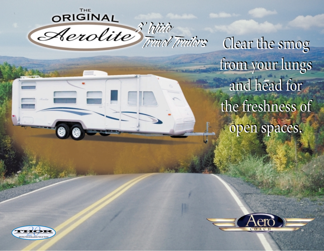*8' Wide Travel Trailers 8' Wide Travel Trailers*

Clear the smog Clear the smog from your lungs from your lungs and head for and head for the freshness of the freshness of open spaces. open spaces.